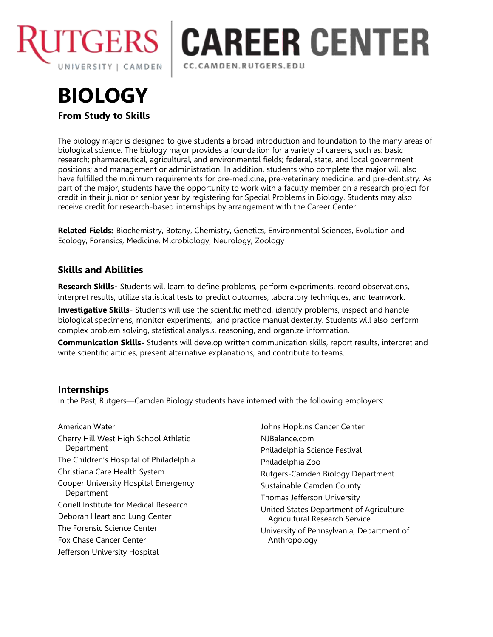

# **CAREER CENTER** CC.CAMDEN.RUTGERS.EDU

# **BIOLOGY From Study to Skills**

The biology major is designed to give students a broad introduction and foundation to the many areas of biological science. The biology major provides a foundation for a variety of careers, such as: basic research; pharmaceutical, agricultural, and environmental fields; federal, state, and local government positions; and management or administration. In addition, students who complete the major will also have fulfilled the minimum requirements for pre-medicine, pre-veterinary medicine, and pre-dentistry. As part of the major, students have the opportunity to work with a faculty member on a research project for credit in their junior or senior year by registering for Special Problems in Biology. Students may also receive credit for research-based internships by arrangement with the Career Center.

**Related Fields:** Biochemistry, Botany, Chemistry, Genetics, Environmental Sciences, Evolution and Ecology, Forensics, Medicine, Microbiology, Neurology, Zoology

# **Skills and Abilities**

**Research Skills**- Students will learn to define problems, perform experiments, record observations, interpret results, utilize statistical tests to predict outcomes, laboratory techniques, and teamwork.

**Investigative Skills**- Students will use the scientific method, identify problems, inspect and handle biological specimens, monitor experiments, and practice manual dexterity. Students will also perform complex problem solving, statistical analysis, reasoning, and organize information.

**Communication Skills-** Students will develop written communication skills, report results, interpret and write scientific articles, present alternative explanations, and contribute to teams.

## **Internships**

In the Past, Rutgers—Camden Biology students have interned with the following employers:

American Water Cherry Hill West High School Athletic Department The Children's Hospital of Philadelphia Christiana Care Health System Cooper University Hospital Emergency **Department** Coriell Institute for Medical Research Deborah Heart and Lung Center The Forensic Science Center Fox Chase Cancer Center Jefferson University Hospital

Johns Hopkins Cancer Center NJBalance.com Philadelphia Science Festival Philadelphia Zoo Rutgers-Camden Biology Department Sustainable Camden County Thomas Jefferson University United States Department of Agriculture-Agricultural Research Service University of Pennsylvania, Department of Anthropology